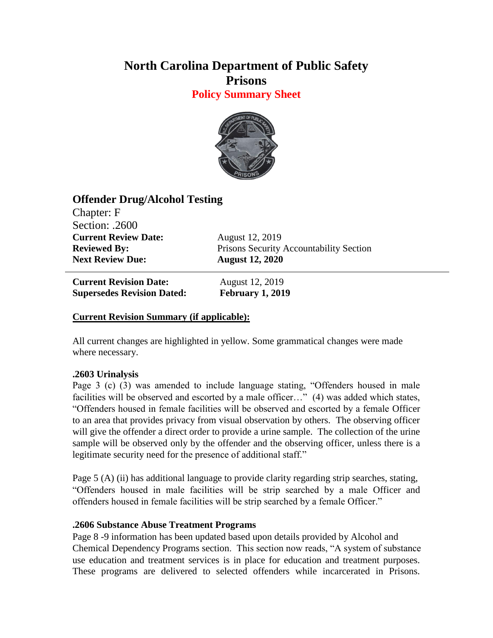# **North Carolina Department of Public Safety Prisons**

**Policy Summary Sheet**



## **Offender Drug/Alcohol Testing**

Chapter: F Section: .2600 **Current Review Date:** August 12, 2019 **Next Review Due: August 12, 2020**

**Reviewed By:** Prisons Security Accountability Section

**Current Revision Date:** August 12, 2019 **Supersedes Revision Dated: February 1, 2019**

## **Current Revision Summary (if applicable):**

All current changes are highlighted in yellow. Some grammatical changes were made where necessary.

### **.2603 Urinalysis**

Page 3 (c) (3) was amended to include language stating, "Offenders housed in male facilities will be observed and escorted by a male officer..." (4) was added which states, "Offenders housed in female facilities will be observed and escorted by a female Officer to an area that provides privacy from visual observation by others. The observing officer will give the offender a direct order to provide a urine sample. The collection of the urine sample will be observed only by the offender and the observing officer, unless there is a legitimate security need for the presence of additional staff."

Page 5 (A) (ii) has additional language to provide clarity regarding strip searches, stating, "Offenders housed in male facilities will be strip searched by a male Officer and offenders housed in female facilities will be strip searched by a female Officer."

### **.2606 Substance Abuse Treatment Programs**

Page 8 -9 information has been updated based upon details provided by Alcohol and Chemical Dependency Programs section. This section now reads, "A system of substance use education and treatment services is in place for education and treatment purposes. These programs are delivered to selected offenders while incarcerated in Prisons.